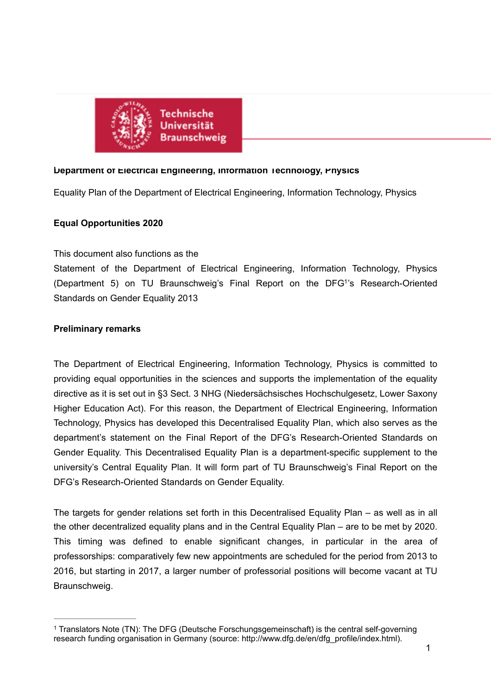

#### **Department of Electrical Engineering, Information Technology, Physics**

Equality Plan of the Department of Electrical Engineering, Information Technology, Physics

### **Equal Opportunities 2020**

### This document also functions as the

<span id="page-0-1"></span>Statement of the Department of Electrical Engineering, Information Technology, Physics (Department 5) on TU Braunschweig['](#page-0-0)s Final Report on the DFG<sup>[1](#page-0-0)</sup>'s Research-Oriented Standards on Gender Equality 2013

### **Preliminary remarks**

The Department of Electrical Engineering, Information Technology, Physics is committed to providing equal opportunities in the sciences and supports the implementation of the equality directive as it is set out in §3 Sect. 3 NHG (Niedersächsisches Hochschulgesetz, Lower Saxony Higher Education Act). For this reason, the Department of Electrical Engineering, Information Technology, Physics has developed this Decentralised Equality Plan, which also serves as the department's statement on the Final Report of the DFG's Research-Oriented Standards on Gender Equality. This Decentralised Equality Plan is a department-specific supplement to the university's Central Equality Plan. It will form part of TU Braunschweig's Final Report on the DFG's Research-Oriented Standards on Gender Equality.

The targets for gender relations set forth in this Decentralised Equality Plan – as well as in all the other decentralized equality plans and in the Central Equality Plan – are to be met by 2020. This timing was defined to enable significant changes, in particular in the area of professorships: comparatively few new appointments are scheduled for the period from 2013 to 2016, but starting in 2017, a larger number of professorial positions will become vacant at TU Braunschweig.

<span id="page-0-0"></span><sup>&</sup>lt;sup>1</sup>Translators Note (TN): The DFG (Deutsche Forschungsgemeinschaft) is the central self-governing research funding organisation in Germany (source: http://www.dfg.de/en/dfg\_profile/index.html).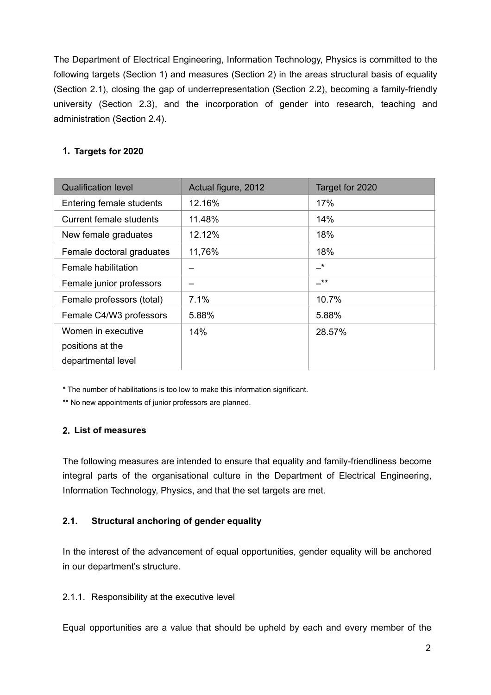The Department of Electrical Engineering, Information Technology, Physics is committed to the following targets (Section 1) and measures (Section 2) in the areas structural basis of equality (Section 2.1), closing the gap of underrepresentation (Section 2.2), becoming a family-friendly university (Section 2.3), and the incorporation of gender into research, teaching and administration (Section 2.4).

## **1. Targets for 2020**

| <b>Qualification level</b>     | Actual figure, 2012 | Target for 2020 |
|--------------------------------|---------------------|-----------------|
| Entering female students       | 12.16%              | 17%             |
| <b>Current female students</b> | 11.48%              | 14%             |
| New female graduates           | 12.12%              | 18%             |
| Female doctoral graduates      | 11,76%              | 18%             |
| Female habilitation            |                     | –*              |
| Female junior professors       |                     | _**             |
| Female professors (total)      | 7.1%                | 10.7%           |
| Female C4/W3 professors        | 5.88%               | 5.88%           |
| Women in executive             | 14%                 | 28.57%          |
| positions at the               |                     |                 |
| departmental level             |                     |                 |

\* The number of habilitations is too low to make this information significant.

\*\* No new appointments of junior professors are planned.

# **2. List of measures**

The following measures are intended to ensure that equality and family-friendliness become integral parts of the organisational culture in the Department of Electrical Engineering, Information Technology, Physics, and that the set targets are met.

# **2.1. Structural anchoring of gender equality**

In the interest of the advancement of equal opportunities, gender equality will be anchored in our department's structure.

2.1.1. Responsibility at the executive level

Equal opportunities are a value that should be upheld by each and every member of the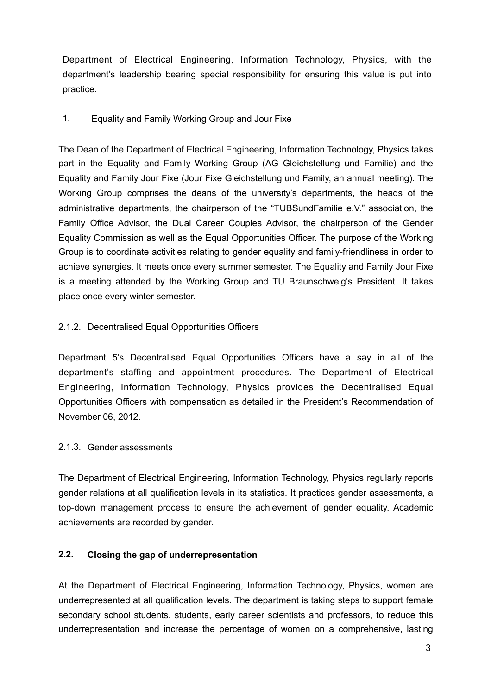Department of Electrical Engineering, Information Technology, Physics, with the department's leadership bearing special responsibility for ensuring this value is put into practice.

# 1. Equality and Family Working Group and Jour Fixe

The Dean of the Department of Electrical Engineering, Information Technology, Physics takes part in the Equality and Family Working Group (AG Gleichstellung und Familie) and the Equality and Family Jour Fixe (Jour Fixe Gleichstellung und Family, an annual meeting). The Working Group comprises the deans of the university's departments, the heads of the administrative departments, the chairperson of the "TUBSundFamilie e.V." association, the Family Office Advisor, the Dual Career Couples Advisor, the chairperson of the Gender Equality Commission as well as the Equal Opportunities Officer. The purpose of the Working Group is to coordinate activities relating to gender equality and family-friendliness in order to achieve synergies. It meets once every summer semester. The Equality and Family Jour Fixe is a meeting attended by the Working Group and TU Braunschweig's President. It takes place once every winter semester.

# 2.1.2. Decentralised Equal Opportunities Officers

Department 5's Decentralised Equal Opportunities Officers have a say in all of the department's staffing and appointment procedures. The Department of Electrical Engineering, Information Technology, Physics provides the Decentralised Equal Opportunities Officers with compensation as detailed in the President's Recommendation of November 06, 2012.

### 2.1.3. Gender assessments

The Department of Electrical Engineering, Information Technology, Physics regularly reports gender relations at all qualification levels in its statistics. It practices gender assessments, a top-down management process to ensure the achievement of gender equality. Academic achievements are recorded by gender.

# **2.2. Closing the gap of underrepresentation**

At the Department of Electrical Engineering, Information Technology, Physics, women are underrepresented at all qualification levels. The department is taking steps to support female secondary school students, students, early career scientists and professors, to reduce this underrepresentation and increase the percentage of women on a comprehensive, lasting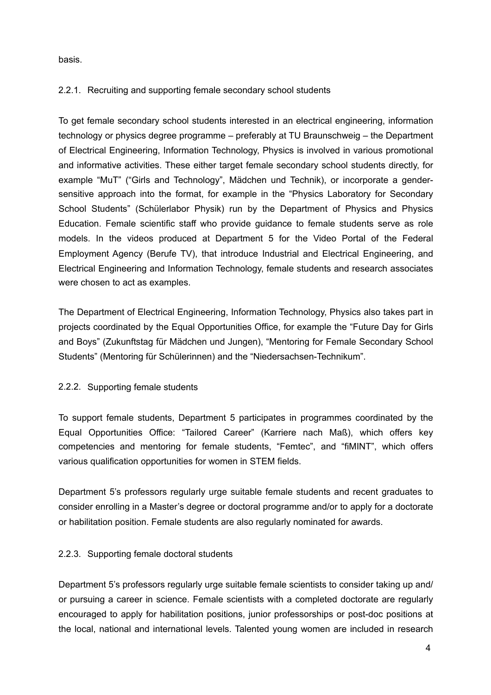basis.

# 2.2.1. Recruiting and supporting female secondary school students

To get female secondary school students interested in an electrical engineering, information technology or physics degree programme – preferably at TU Braunschweig – the Department of Electrical Engineering, Information Technology, Physics is involved in various promotional and informative activities. These either target female secondary school students directly, for example "MuT" ("Girls and Technology", Mädchen und Technik), or incorporate a gendersensitive approach into the format, for example in the "Physics Laboratory for Secondary School Students" (Schülerlabor Physik) run by the Department of Physics and Physics Education. Female scientific staff who provide guidance to female students serve as role models. In the videos produced at Department 5 for the Video Portal of the Federal Employment Agency (Berufe TV), that introduce Industrial and Electrical Engineering, and Electrical Engineering and Information Technology, female students and research associates were chosen to act as examples.

The Department of Electrical Engineering, Information Technology, Physics also takes part in projects coordinated by the Equal Opportunities Office, for example the "Future Day for Girls and Boys" (Zukunftstag für Mädchen und Jungen), "Mentoring for Female Secondary School Students" (Mentoring für Schülerinnen) and the "Niedersachsen-Technikum".

# 2.2.2. Supporting female students

To support female students, Department 5 participates in programmes coordinated by the Equal Opportunities Office: "Tailored Career" (Karriere nach Maß), which offers key competencies and mentoring for female students, "Femtec", and "fiMINT", which offers various qualification opportunities for women in STEM fields.

Department 5's professors regularly urge suitable female students and recent graduates to consider enrolling in a Master's degree or doctoral programme and/or to apply for a doctorate or habilitation position. Female students are also regularly nominated for awards.

# 2.2.3. Supporting female doctoral students

Department 5's professors regularly urge suitable female scientists to consider taking up and/ or pursuing a career in science. Female scientists with a completed doctorate are regularly encouraged to apply for habilitation positions, junior professorships or post-doc positions at the local, national and international levels. Talented young women are included in research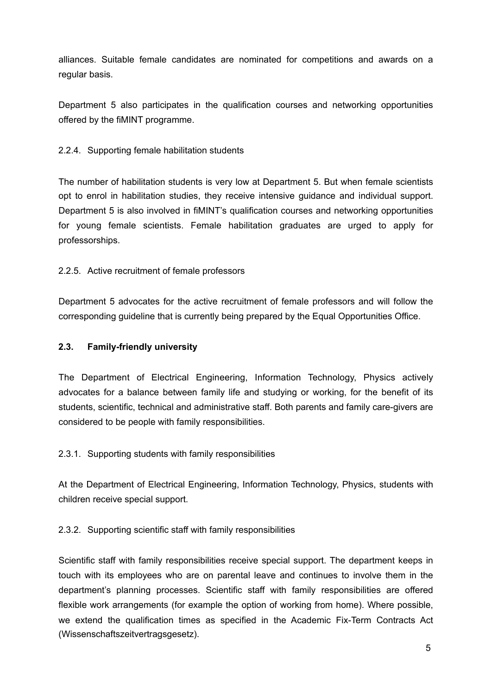alliances. Suitable female candidates are nominated for competitions and awards on a regular basis.

Department 5 also participates in the qualification courses and networking opportunities offered by the fiMINT programme.

# 2.2.4. Supporting female habilitation students

The number of habilitation students is very low at Department 5. But when female scientists opt to enrol in habilitation studies, they receive intensive guidance and individual support. Department 5 is also involved in fiMINT's qualification courses and networking opportunities for young female scientists. Female habilitation graduates are urged to apply for professorships.

### 2.2.5. Active recruitment of female professors

Department 5 advocates for the active recruitment of female professors and will follow the corresponding guideline that is currently being prepared by the Equal Opportunities Office.

### **2.3. Family-friendly university**

The Department of Electrical Engineering, Information Technology, Physics actively advocates for a balance between family life and studying or working, for the benefit of its students, scientific, technical and administrative staff. Both parents and family care-givers are considered to be people with family responsibilities.

2.3.1. Supporting students with family responsibilities

At the Department of Electrical Engineering, Information Technology, Physics, students with children receive special support.

# 2.3.2. Supporting scientific staff with family responsibilities

Scientific staff with family responsibilities receive special support. The department keeps in touch with its employees who are on parental leave and continues to involve them in the department's planning processes. Scientific staff with family responsibilities are offered flexible work arrangements (for example the option of working from home). Where possible, we extend the qualification times as specified in the Academic Fix-Term Contracts Act (Wissenschaftszeitvertragsgesetz).